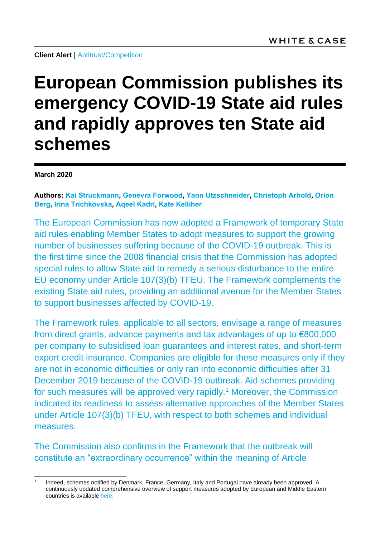# **European Commission publishes its emergency COVID-19 State aid rules and rapidly approves ten State aid schemes**

**March 2020**

**Authors: [Kai Struckmann,](https://www.whitecase.com/people/kai-struckmann) [Genevra Forwood,](https://www.whitecase.com/people/genevra-forwood) [Yann Utzschneider,](https://www.whitecase.com/people/yann-utzschneider) [Christoph Arhold,](https://www.whitecase.com/people/christoph-arhold) [Orion](https://www.whitecase.com/people/orion-berg)  [Berg,](https://www.whitecase.com/people/orion-berg) [Irina Trichkovska,](https://www.whitecase.com/people/irina-trichkovska) [Aqeel Kadri,](https://www.whitecase.com/people/aqeel-kadri) [Kate Kelliher](https://www.whitecase.com/people/kate-kelliher)**

The European Commission has now adopted a Framework of temporary State aid rules enabling Member States to adopt measures to support the growing number of businesses suffering because of the COVID-19 outbreak. This is the first time since the 2008 financial crisis that the Commission has adopted special rules to allow State aid to remedy a serious disturbance to the entire EU economy under Article 107(3)(b) TFEU. The Framework complements the existing State aid rules, providing an additional avenue for the Member States to support businesses affected by COVID-19.

The Framework rules, applicable to all sectors, envisage a range of measures from direct grants, advance payments and tax advantages of up to €800,000 per company to subsidised loan guarantees and interest rates, and short-term export credit insurance. Companies are eligible for these measures only if they are not in economic difficulties or only ran into economic difficulties after 31 December 2019 because of the COVID-19 outbreak. Aid schemes providing for such measures will be approved very rapidly.<sup>1</sup> Moreover, the Commission indicated its readiness to assess alternative approaches of the Member States under Article 107(3)(b) TFEU, with respect to both schemes and individual measures.

The Commission also confirms in the Framework that the outbreak will constitute an "extraordinary occurrence" within the meaning of Article

l 1 Indeed, schemes notified by Denmark, France, Germany, Italy and Portugal have already been approved. A continuously updated comprehensive overview of support measures adopted by European and Middle Eastern countries is available [here.](https://www.whitecase.com/sites/default/files/2020-03/overview-coronavirus-presentation-final.pdf)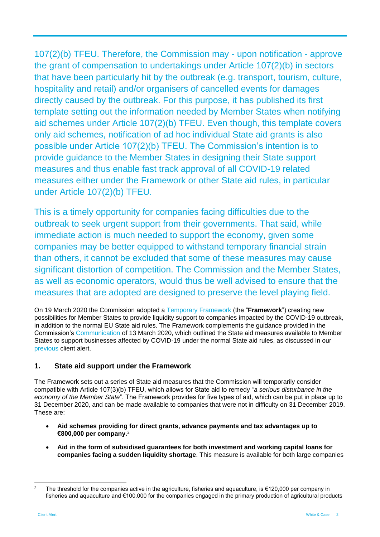107(2)(b) TFEU. Therefore, the Commission may - upon notification - approve the grant of compensation to undertakings under Article 107(2)(b) in sectors that have been particularly hit by the outbreak (e.g. transport, tourism, culture, hospitality and retail) and/or organisers of cancelled events for damages directly caused by the outbreak. For this purpose, it has published its first template setting out the information needed by Member States when notifying aid schemes under Article 107(2)(b) TFEU. Even though, this template covers only aid schemes, notification of ad hoc individual State aid grants is also possible under Article 107(2)(b) TFEU. The Commission's intention is to provide guidance to the Member States in designing their State support measures and thus enable fast track approval of all COVID-19 related measures either under the Framework or other State aid rules, in particular under Article 107(2)(b) TFEU.

This is a timely opportunity for companies facing difficulties due to the outbreak to seek urgent support from their governments. That said, while immediate action is much needed to support the economy, given some companies may be better equipped to withstand temporary financial strain than others, it cannot be excluded that some of these measures may cause significant distortion of competition. The Commission and the Member States, as well as economic operators, would thus be well advised to ensure that the measures that are adopted are designed to preserve the level playing field.

On 19 March 2020 the Commission adopted a [Temporary Framework](https://ec.europa.eu/competition/state_aid/what_is_new/sa_covid19_temporary-framework.pdf) (the "**Framework**") creating new possibilities for Member States to provide liquidity support to companies impacted by the COVID-19 outbreak, in addition to the normal EU State aid rules. The Framework complements the guidance provided in the Commission's [Communication](https://ec.europa.eu/info/sites/info/files/communication-coordinated-economic-response-covid19-march-2020_en.pdf) of 13 March 2020, which outlined the State aid measures available to Member States to support businesses affected by COVID-19 under the normal State aid rules, as discussed in our [previous](https://www.whitecase.com/publications/alert/state-aid-response-covid-19-crisis) client alert.

# **1. State aid support under the Framework**

The Framework sets out a series of State aid measures that the Commission will temporarily consider compatible with Article 107(3)(b) TFEU, which allows for State aid to remedy "*a serious disturbance in the economy of the Member State*". The Framework provides for five types of aid, which can be put in place up to 31 December 2020, and can be made available to companies that were not in difficulty on 31 December 2019. These are:

- **Aid schemes providing for direct grants, advance payments and tax advantages up to €800,000 per company.**<sup>2</sup>
- **Aid in the form of subsidised guarantees for both investment and working capital loans for companies facing a sudden liquidity shortage**. This measure is available for both large companies

 $\overline{2}$ <sup>2</sup> The threshold for the companies active in the agriculture, fisheries and aquaculture, is €120,000 per company in fisheries and aquaculture and €100,000 for the companies engaged in the primary production of agricultural products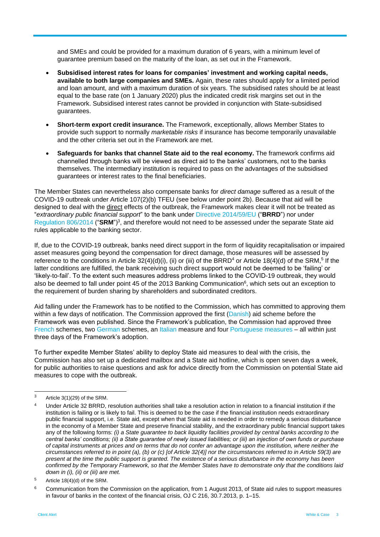and SMEs and could be provided for a maximum duration of 6 years, with a minimum level of guarantee premium based on the maturity of the loan, as set out in the Framework.

- **Subsidised interest rates for loans for companies' investment and working capital needs, available to both large companies and SMEs.** Again, these rates should apply for a limited period and loan amount, and with a maximum duration of six years. The subsidised rates should be at least equal to the base rate (on 1 January 2020) plus the indicated credit risk margins set out in the Framework. Subsidised interest rates cannot be provided in conjunction with State-subsidised guarantees.
- **Short-term export credit insurance.** The Framework, exceptionally, allows Member States to provide such support to normally *marketable risks* if insurance has become temporarily unavailable and the other criteria set out in the Framework are met.
- **Safeguards for banks that channel State aid to the real economy.** The framework confirms aid channelled through banks will be viewed as direct aid to the banks' customers, not to the banks themselves. The intermediary institution is required to pass on the advantages of the subsidised guarantees or interest rates to the final beneficiaries.

The Member States can nevertheless also compensate banks for *direct damage* suffered as a result of the COVID-19 outbreak under Article 107(2)(b) TFEU (see below under point 2b). Because that aid will be designed to deal with the direct effects of the outbreak, the Framework makes clear it will not be treated as "*extraordinary public financial support*" to the bank under [Directive 2014/59/EU](https://eur-lex.europa.eu/legal-content/EN/TXT/?uri=celex%3A32014L0059) ("**BRRD**") nor under [Regulation 806/2014](https://eur-lex.europa.eu/legal-content/EN/TXT/?uri=CELEX%3A32014R0806) ("SRM")<sup>3</sup>, and therefore would not need to be assessed under the separate State aid rules applicable to the banking sector.

If, due to the COVID-19 outbreak, banks need direct support in the form of liquidity recapitalisation or impaired asset measures going beyond the compensation for direct damage, those measures will be assessed by reference to the conditions in Article  $32(4)(d)(i)$ , (ii) or (iii) of the BRRD<sup>4</sup> or Article 18(4)(d) of the SRM,<sup>5</sup> If the latter conditions are fulfilled, the bank receiving such direct support would not be deemed to be 'failing' or 'likely-to-fail'. To the extent such measures address problems linked to the COVID-19 outbreak, they would also be deemed to fall under point 45 of the 2013 Banking Communication<sup>6</sup>, which sets out an exception to the requirement of burden sharing by shareholders and subordinated creditors.

Aid falling under the Framework has to be notified to the Commission, which has committed to approving them within a few days of notification. The Commission approved the first [\(Danish\)](https://ec.europa.eu/competition/state_aid/cases1/202011/285054_2139535_70_2.pdf) aid scheme before the Framework was even published. Since the Framework's publication, the Commission had approved three [French](https://ec.europa.eu/competition/state_aid/cases1/202012/285133_2141269_36_2.pdf) schemes, two [German](https://ec.europa.eu/commission/presscorner/detail/en/ip_20_504) schemes, an [Italian](https://ec.europa.eu/commission/presscorner/detail/en/IP_20_507) measure and four [Portuguese measures](https://ec.europa.eu/commission/presscorner/detail/en/IP_20_507) – all within just three days of the Framework's adoption.

To further expedite Member States' ability to deploy State aid measures to deal with the crisis, the Commission has also set up a dedicated mailbox and a State aid hotline, which is open seven days a week, for public authorities to raise questions and ask for advice directly from the Commission on potential State aid measures to cope with the outbreak.

l

 $3$  Article 3(1)(29) of the SRM.

<sup>4</sup> Under Article 32 BRRD, resolution authorities shall take a resolution action in relation to a financial institution if the institution is failing or is likely to fail. This is deemed to be the case if the financial institution needs extraordinary public financial support, i.e. State aid, except when that State aid is needed in order to remedy a serious disturbance in the economy of a Member State and preserve financial stability, and the extraordinary public financial support takes any of the following forms: *(i) a State guarantee to back liquidity facilities provided by central banks according to the central banks' conditions; (ii) a State guarantee of newly issued liabilities; or (iii) an injection of own funds or purchase of capital instruments at prices and on terms that do not confer an advantage upon the institution, where neither the circumstances referred to in point (a), (b) or (c) [of Article 32(4)] nor the circumstances referred to in Article 59(3) are present at the time the public support is granted. The existence of a serious disturbance in the economy has been confirmed by the Temporary Framework, so that the Member States have to demonstrate only that the conditions laid down in (i), (ii) or (iii) are met.*

 $5$  Article 18(4)(d) of the SRM.

<sup>&</sup>lt;sup>6</sup> Communication from the Commission on the application, from 1 August 2013, of State aid rules to support measures in favour of banks in the context of the financial crisis, OJ C 216, 30.7.2013, p. 1–15.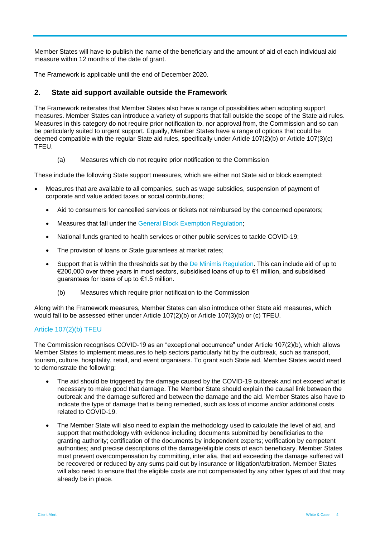Member States will have to publish the name of the beneficiary and the amount of aid of each individual aid measure within 12 months of the date of grant.

The Framework is applicable until the end of December 2020.

## **2. State aid support available outside the Framework**

The Framework reiterates that Member States also have a range of possibilities when adopting support measures. Member States can introduce a variety of supports that fall outside the scope of the State aid rules. Measures in this category do not require prior notification to, nor approval from, the Commission and so can be particularly suited to urgent support. Equally, Member States have a range of options that could be deemed compatible with the regular State aid rules, specifically under Article 107(2)(b) or Article 107(3)(c) TFEU.

(a) Measures which do not require prior notification to the Commission

These include the following State support measures, which are either not State aid or block exempted:

- Measures that are available to all companies, such as wage subsidies, suspension of payment of corporate and value added taxes or social contributions;
	- Aid to consumers for cancelled services or tickets not reimbursed by the concerned operators;
	- Measures that fall under the [General Block Exemption Regulation;](https://eur-lex.europa.eu/legal-content/EN/TXT/?uri=CELEX:02014R0651-20170710)
	- National funds granted to health services or other public services to tackle COVID-19;
	- The provision of loans or State guarantees at market rates;
	- Support that is within the thresholds set by the [De Minimis Regulation.](https://eur-lex.europa.eu/legal-content/EN/TXT/?uri=CELEX%3A32013R1407) This can include aid of up to €200,000 over three years in most sectors, subsidised loans of up to €1 million, and subsidised guarantees for loans of up to €1.5 million.
		- (b) Measures which require prior notification to the Commission

Along with the Framework measures, Member States can also introduce other State aid measures, which would fall to be assessed either under Article 107(2)(b) or Article 107(3)(b) or (c) TFEU.

### Article 107(2)(b) TFEU

The Commission recognises COVID-19 as an "exceptional occurrence" under Article 107(2)(b), which allows Member States to implement measures to help sectors particularly hit by the outbreak, such as transport, tourism, culture, hospitality, retail, and event organisers. To grant such State aid, Member States would need to demonstrate the following:

- The aid should be triggered by the damage caused by the COVID-19 outbreak and not exceed what is necessary to make good that damage. The Member State should explain the causal link between the outbreak and the damage suffered and between the damage and the aid. Member States also have to indicate the type of damage that is being remedied, such as loss of income and/or additional costs related to COVID-19.
- The Member State will also need to explain the methodology used to calculate the level of aid, and support that methodology with evidence including documents submitted by beneficiaries to the granting authority; certification of the documents by independent experts; verification by competent authorities; and precise descriptions of the damage/eligible costs of each beneficiary. Member States must prevent overcompensation by committing, inter alia, that aid exceeding the damage suffered will be recovered or reduced by any sums paid out by insurance or litigation/arbitration. Member States will also need to ensure that the eligible costs are not compensated by any other types of aid that may already be in place.